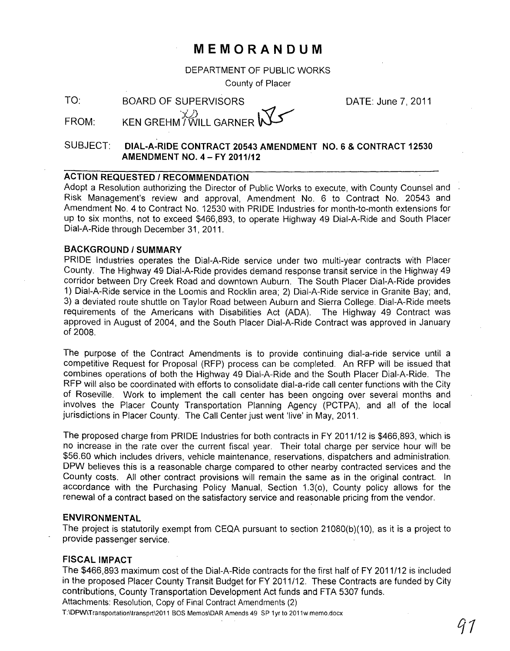# **MEMORANDUM**

DEPARTMENT OF PUBLIC WORKS

County of Placer

TO: BOARD OF SUPERVISORS

DATE: June 7,2011

# FROM:  $\times$  X  $\mathbb{Z}$  KEN GREHM / WILL GARNER

## SUBJECT: **DIAL-A-RIDE CONTRACT 20543 AMENDMENT NO.6 & CONTRACT 12530 AMENDMENT NO.4 - FY 2011/12**

### **ACTION REQUESTED / RECOMMENDATION**

Adopt a Resolution authorizing the Director of Public Works to execute, with County Counsel and Risk Management's review and approval, Amendment No. 6 to Contract No. 20543 and Amendment NO.4 to Contract No. 12530 with PRIDE Industries for month-to-month extensions for up to six months, not to exceed \$466,893, to operate Highway 49 Dial-A-Ride and South Placer Dial-A-Ride through December 31, 2011.

#### **BACKGROUND/SUMMARY**

PRIDE Industries operates the Dial-A-Ride service under two multi-year contracts with Placer County. The Highway 49 Dial-A-Ride provides demand response transit service in the Highway 49 corridor between Dry Creek Road and downtown Auburn. The South Placer Dial-A-Ride provides 1) Dial-A-Ride service in the Loomis and Rocklin area; 2) Dial-A-Ride service in Granite Bay; and, 3) a deviated route shuttle on Taylor Road between Auburn and Sierra College. Dial-A-Ride meets requirements of the Americans with Disabilities Act (ADA). The Highway 49 Contract was approved in August of 2004, and the South Placer Dial-A-Ride Contract was approved in January of 2008.

The purpose of the Contract Amendments is to provide continuing dial-a-ride service until a competitive Request for Proposal (RFP) process can be completed. An RFP will be issued that combines operations of both the Highway 49 Dial-A-Ride and the South Placer Dial-A-Ride. The RFP will also be coordinated with efforts to consolidate dial-a-ride call center functions with the City of Roseville. Work to implement the call center has been ongoing over several months and involves the Placer County Transportation Planning Agency (PCTPA), and all of the local jurisdictions in Placer County. The Call Center just went 'live' in May, 2011.

The proposed charge from PRIDE Industries for both contracts in FY 2011/12 is \$466,893, which is no increase in the rate over the current fiscal year. Their total charge per service hour will be \$56.60 which includes drivers, vehicle maintenance, reservations, dispatchers and administration. DPW believes this is a reasonable charge compared to other nearby contracted services and the County costs. All other contract provisions will remain the same as in the original contract. In accordance with the Purchasing Policy Manual, Section 1.3(0), County policy allows for the renewal of a contract based on the satisfactory service and reasonable pricing from the vendor.

#### **ENVIRONMENTAL**

The project is statutorily exempt from CEQA pursuant to section 21080(b)(10), as it is a project to provide passenger service. .

#### **FISCAL IMPACT**

The \$466,893 maximum cost of the Dial-A-Ride contracts for the first half of FY 2011/12 is included in the proposed Placer County Transit Budget for FY 2011/12. These Contracts are funded by City contributions, County Transportation Development Act funds and FTA 5307 funds. Attachments: Resolution, Copy of Final Contract Amendments (2)

T:\OPw\Transportation\transprt\2011 BOS Memos\OAR Amends 49 SP 1yr to 2011w memo.docx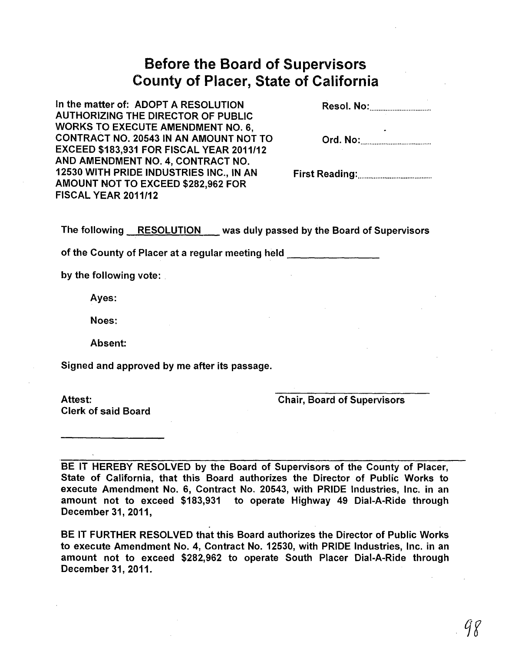# Before the Board of Supervisors County of Placer, State of California

| In the matter of: ADOPT A RESOLUTION            |  |
|-------------------------------------------------|--|
| <b>AUTHORIZING THE DIRECTOR OF PUBLIC</b>       |  |
| <b>WORKS TO EXECUTE AMENDMENT NO. 6.</b>        |  |
| CONTRACT NO. 20543 IN AN AMOUNT NOT TO          |  |
| <b>EXCEED \$183,931 FOR FISCAL YEAR 2011/12</b> |  |
| AND AMENDMENT NO. 4, CONTRACT NO.               |  |
| 12530 WITH PRIDE INDUSTRIES INC., IN AN         |  |
| AMOUNT NOT TO EXCEED \$282,962 FOR              |  |
| <b>FISCAL YEAR 2011/12</b>                      |  |

The following RESOLUTION was duly passed by the Board of Supervisors

of the County of Placer at a regular meeting held **Lace 2018** 

by the following vote:

Ayes:

Noes:

Absent:

Signed and approved by me after its passage.

Clerk of said Board

Attest: Chair, Board of Supervisors

BE IT HEREBY RESOLVED by the Board of Supervisors of the County of Placer, State of California, that this Board authorizes the Director of Public Works to execute Amendment No.6, Contract No. 20543, with PRIDE Industries, Inc. in an amount not to exceed \$183,931 to operate Highway 49 Dial-A-Ride through December 31, 2011,

BE IT FURTHER RESOLVED that this Board authorizes the Director of Public Works to execute Amendment No.4, Contract No. 12530, with PRIDE Industries, Inc. in an amount not to exceed \$282,962 to operate South Placer Dial-A-Ride through December 31, 2011.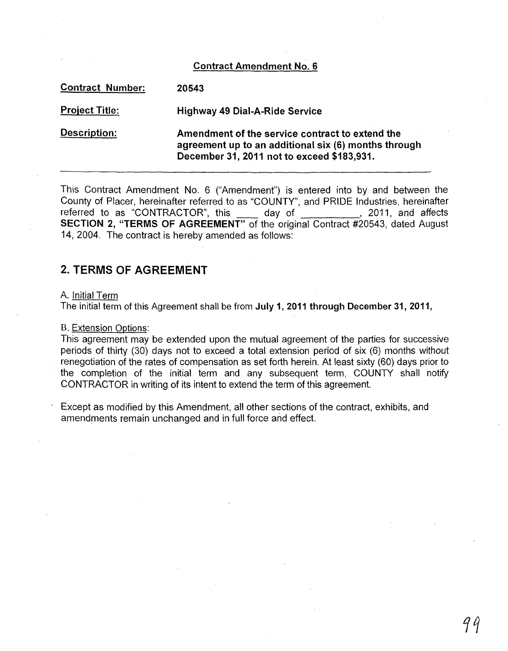### Contract Amendment No.6

| <b>Contract Number:</b> | 20543                                                                                                                                                 |
|-------------------------|-------------------------------------------------------------------------------------------------------------------------------------------------------|
| <b>Project Title:</b>   | <b>Highway 49 Dial-A-Ride Service</b>                                                                                                                 |
| Description:            | Amendment of the service contract to extend the<br>agreement up to an additional six (6) months through<br>December 31, 2011 not to exceed \$183,931. |

This Contract Amendment No. 6 ("Amendment") is entered into by and between the County of Placer, hereinafter referred to as "COUNTY", and PRIDE Industries, hereinafter bounty of Flacer, neremanter referred to as COONTT, and FRIDE mudstries, neremanter<br>referred to as "CONTRACTOR", this \_\_\_\_ day of \_\_\_\_\_\_\_\_\_\_, 2011, and affects SECTION 2, "TERMS OF AGREEMENT" of the original Contract #20543, dated August 14, 2004. The contract is hereby amended as follows:

# 2. TERMS OF AGREEMENT

#### A. Initial Term

The initial term of this Agreement shall be from July 1, 2011 through December 31, 2011,

#### B. Extension Options:

This agreement may be extended upon the mutual agreement of the parties for successive periods of thirty (30) days not to exceed a total extension period of six (6) months without renegotiation of the rates of compensation as set forth herein. At least sixty (60) days prior to the completion of the initial term and any subsequent term, COUNTY shall notify CONTRACTOR in writing of its intent to extend the term of this agreement.

Except as modified by this Amendment, all other sections of the contract, exhibits, and amendments remain unchanged and in full force and effect.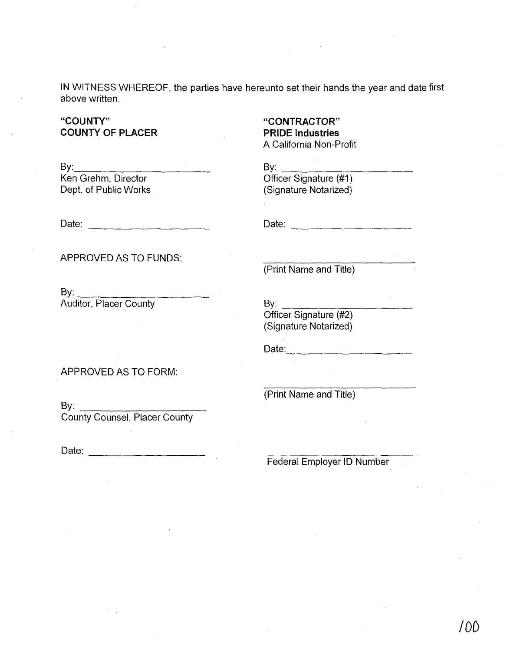**IN** WITNESS WHEREOF, the parties have hereunto set their hands the year and date first above written.

# **"COUNTY" COUNTY OF PLACER**

**"CONTRACTOR" PRIDE Industries**  A California Non-Profit

 $\mathsf{By:}$ Ken Grehm, Director Dept. of Public Works

 $\mathsf{By:}$ Officer Signature (#1) (Signature Notarized)

Date:  $\Box$ 

APPROVED AS TO FUNDS:

 $\mathsf{By:}$ Auditor, Placer County

APPROVED AS TO FORM:

By: \_\_\_\_\_\_\_\_\_\_\_ \_\_ County Counsel, Placer County

Date: \_\_\_\_\_\_\_\_\_ \_

Federal Employer **10** Number

(Print Name and Title)

 $\mathsf{By:}$ Officer Signature (#2) (Signature Notarized)

Date: --------------

(Print Name and Title)

Date: \_\_\_\_\_\_\_\_\_\_\_ \_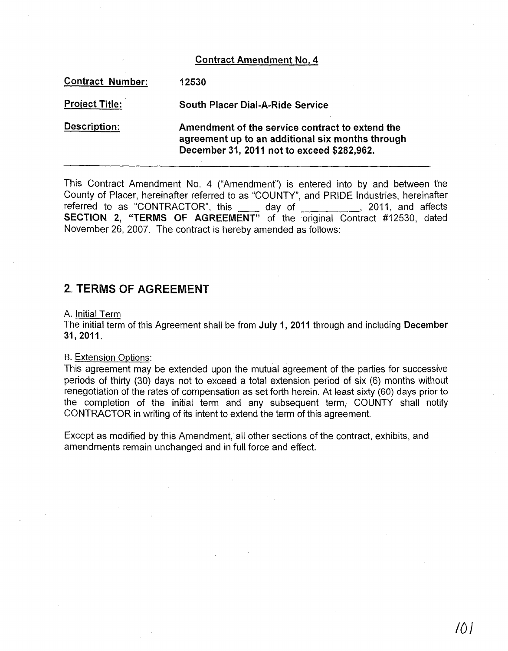#### Contract Amendment No.4

| <b>Contract Number:</b> | 12530                                                                                                                                             |
|-------------------------|---------------------------------------------------------------------------------------------------------------------------------------------------|
| <b>Project Title:</b>   | <b>South Placer Dial-A-Ride Service</b>                                                                                                           |
| <b>Description:</b>     | Amendment of the service contract to extend the<br>agreement up to an additional six months through<br>December 31, 2011 not to exceed \$282,962. |

This Contract Amendment No. 4 ("Amendment") is entered into by and between the County of Placer, hereinafter referred to as "COUNTY", and PRIDE Industries, hereinafter referred to as "CONTRACTOR", this \_\_\_\_\_ day of \_\_\_\_\_\_\_\_\_\_\_, 2011, and affects SECTION 2, "TERMS OF AGREEMENT" of the original Contract #12530, dated November 26,2007. The contract is hereby amended as follows:

# 2. TERMS OF AGREEMENT

#### A. Initial Term

The initial term of this Agreement shall be from July 1, 2011 through and including December 31,2011.

#### B. Extension Options:

This agreement may be extended upon the mutual agreement of the parties for successive periods of thirty (30) days not to exceed a total extension period of six (6) months without renegotiation of the rates of compensation as set forth herein. At least sixty (60) days prior to the completion of the initial term and any subsequent term, COUNTY shall notify CONTRACTOR in writing of its intent to extend the term of this agreement.

Except as modified by this Amendment, all other sections of the contract, exhibits, and amendments remain unchanged and in full force and effect.